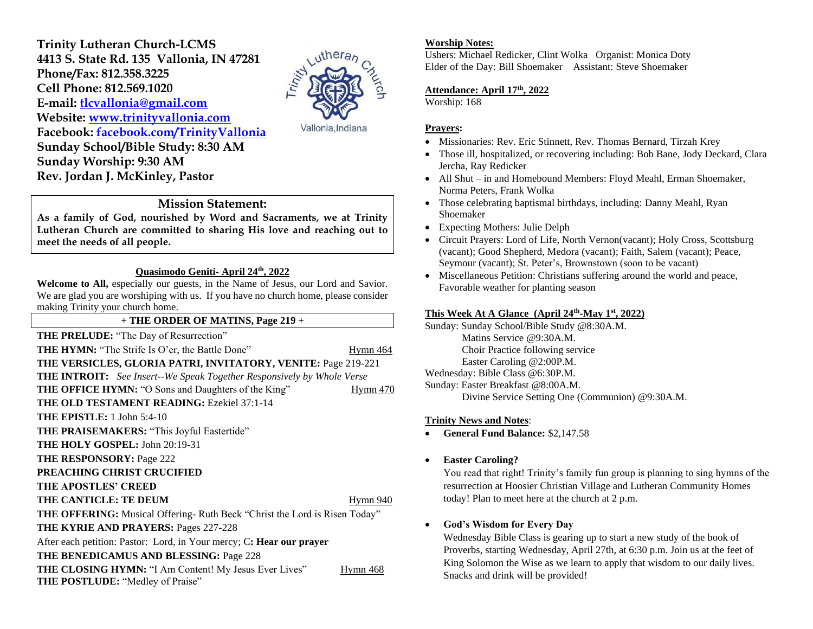**Trinity Lutheran Church-LCMS 4413 S. State Rd. 135 Vallonia, IN 47281 Phone/Fax: 812.358.3225 Cell Phone: 812.569.1020 E-mail: [tlcvallonia@gmail.com](mailto:tlcvallonia@gmail.com) Website: [www.trinityvallonia.com](http://www.trinityvallonia.com/) Facebook: [facebook.com/TrinityVallonia](http://facebook.com/TrinityVallonia)  Sunday School/Bible Study: 8:30 AM Sunday Worship: 9:30 AM Rev. Jordan J. McKinley, Pastor**



Vallonia, Indiana

## **Mission Statement:**

**As a family of God, nourished by Word and Sacraments, we at Trinity Lutheran Church are committed to sharing His love and reaching out to meet the needs of all people.**

#### **Quasimodo Geniti- April 24th, 2022**

**Welcome to All,** especially our guests, in the Name of Jesus, our Lord and Savior. We are glad you are worshiping with us. If you have no church home, please consider making Trinity your church home.

#### **+ THE ORDER OF MATINS, Page 219 +**

**THE PRELUDE:** "The Day of Resurrection" **THE HYMN:** "The Strife Is O'er, the Battle Done" Hymn 464

**THE VERSICLES, GLORIA PATRI, INVITATORY, VENITE:** Page 219-221 **THE INTROIT:** *See Insert--We Speak Together Responsively by Whole Verse* **THE OFFICE HYMN:** "O Sons and Daughters of the King" Hymn 470 **THE OLD TESTAMENT READING:** Ezekiel 37:1-14 **THE EPISTLE:** 1 John 5:4-10 THE PRAISEMAKERS: "This Joyful Eastertide" **THE HOLY GOSPEL:** John 20:19-31 **THE RESPONSORY:** Page 222 **PREACHING CHRIST CRUCIFIED THE APOSTLES' CREED THE CANTICLE: TE DEUM**  Hymn 940 **THE OFFERING:** Musical Offering- Ruth Beck "Christ the Lord is Risen Today" **THE KYRIE AND PRAYERS:** Pages 227-228 After each petition: Pastor: Lord, in Your mercy; C**: Hear our prayer THE BENEDICAMUS AND BLESSING:** Page 228 **THE CLOSING HYMN:** "I Am Content! My Jesus Ever Lives" Hymn 468 **THE POSTLUDE:** "Medley of Praise"

#### **Worship Notes:**

Ushers: Michael Redicker, Clint Wolka Organist: Monica Doty Elder of the Day: Bill Shoemaker Assistant: Steve Shoemaker

## **Attendance: April 17 th, 2022**

Worship: 168

#### **Prayers:**

- Missionaries: Rev. Eric Stinnett, Rev. Thomas Bernard, Tirzah Krey
- Those ill, hospitalized, or recovering including: Bob Bane, Jody Deckard, Clara Jercha, Ray Redicker
- All Shut in and Homebound Members: Floyd Meahl, Erman Shoemaker, Norma Peters, Frank Wolka
- Those celebrating baptismal birthdays, including: Danny Meahl, Ryan Shoemaker
- Expecting Mothers: Julie Delph
- Circuit Prayers: Lord of Life, North Vernon(vacant); Holy Cross, Scottsburg (vacant); Good Shepherd, Medora (vacant); Faith, Salem (vacant); Peace, Seymour (vacant); St. Peter's, Brownstown (soon to be vacant)
- Miscellaneous Petition: Christians suffering around the world and peace, Favorable weather for planting season

#### **This Week At A Glance (April 24 th -May 1st , 2022)**

Sunday: Sunday School/Bible Study @8:30A.M. Matins Service @9:30A.M. Choir Practice following service Easter Caroling @2:00P.M. Wednesday: Bible Class @6:30P.M. Sunday: Easter Breakfast @8:00A.M. Divine Service Setting One (Communion) @9:30A.M.

## **Trinity News and Notes**:

• **General Fund Balance:** \$2,147.58

• **Easter Caroling?**

You read that right! Trinity's family fun group is planning to sing hymns of the resurrection at Hoosier Christian Village and Lutheran Community Homes today! Plan to meet here at the church at 2 p.m.

# • **God's Wisdom for Every Day**

Wednesday Bible Class is gearing up to start a new study of the book of Proverbs, starting Wednesday, April 27th, at 6:30 p.m. Join us at the feet of King Solomon the Wise as we learn to apply that wisdom to our daily lives. Snacks and drink will be provided!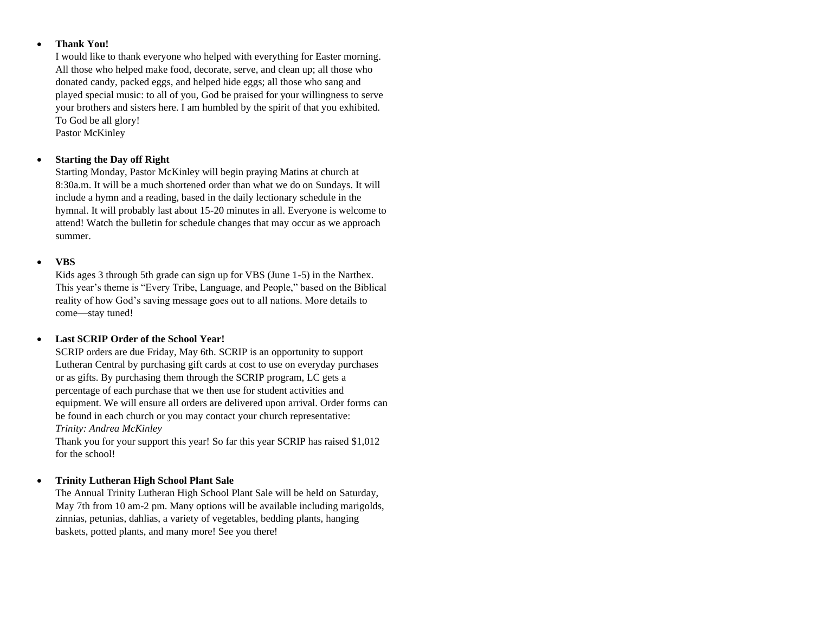#### • **Thank You!**

I would like to thank everyone who helped with everything for Easter morning. All those who helped make food, decorate, serve, and clean up; all those who donated candy, packed eggs, and helped hide eggs; all those who sang and played special music: to all of you, God be praised for your willingness to serve your brothers and sisters here. I am humbled by the spirit of that you exhibited. To God be all glory! Pastor McKinley

## • **Starting the Day off Right**

Starting Monday, Pastor McKinley will begin praying Matins at church at 8:30a.m. It will be a much shortened order than what we do on Sundays. It will include a hymn and a reading, based in the daily lectionary schedule in the hymnal. It will probably last about 15-20 minutes in all. Everyone is welcome to attend! Watch the bulletin for schedule changes that may occur as we approach summer.

## • **VBS**

Kids ages 3 through 5th grade can sign up for VBS (June 1-5) in the Narthex. This year's theme is "Every Tribe, Language, and People," based on the Biblical reality of how God's saving message goes out to all nations. More details to come—stay tuned!

## • **Last SCRIP Order of the School Year!**

SCRIP orders are due Friday, May 6th. SCRIP is an opportunity to support Lutheran Central by purchasing gift cards at cost to use on everyday purchases or as gifts. By purchasing them through the SCRIP program, LC gets a percentage of each purchase that we then use for student activities and equipment. We will ensure all orders are delivered upon arrival. Order forms can be found in each church or you may contact your church representative: *Trinity: Andrea McKinley*

Thank you for your support this year! So far this year SCRIP has raised \$1,012 for the school!

## • **Trinity Lutheran High School Plant Sale**

The Annual Trinity Lutheran High School Plant Sale will be held on Saturday, May 7th from 10 am-2 pm. Many options will be available including marigolds, zinnias, petunias, dahlias, a variety of vegetables, bedding plants, hanging baskets, potted plants, and many more! See you there!